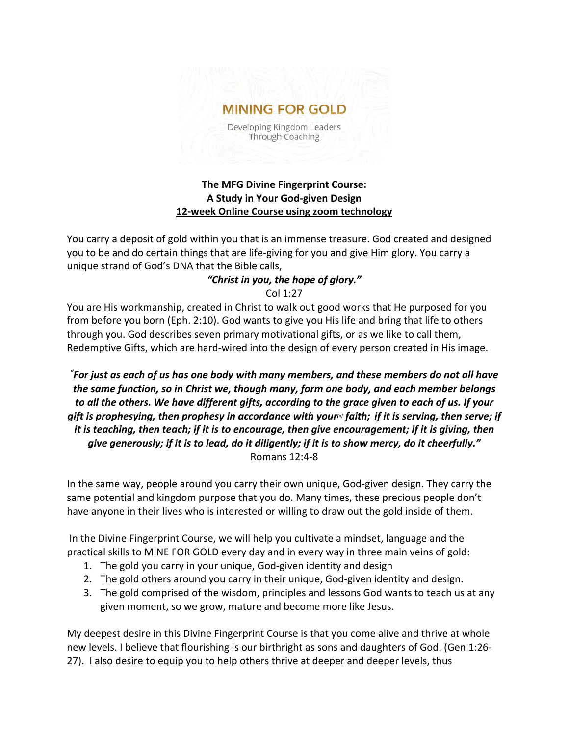# **MINING FOR GOLD**

Developing Kingdom Leaders Through Coaching

## **The MFG Divine Fingerprint Course: A Study in Your God-given Design 12-week Online Course using zoom technology**

You carry a deposit of gold within you that is an immense treasure. God created and designed you to be and do certain things that are life-giving for you and give Him glory. You carry a unique strand of God's DNA that the Bible calls,

#### *"Christ in you, the hope of glory."* Col 1:27

You are His workmanship, created in Christ to walk out good works that He purposed for you from before you born (Eph. 2:10). God wants to give you His life and bring that life to others through you. God describes seven primary motivational gifts, or as we like to call them, Redemptive Gifts, which are hard-wired into the design of every person created in His image.

*" For just as each of us has one body with many members, and these members do not all have the same function, so in Christ we, though many, form one body, and each member belongs to all the others. We have different gifts, according to the grace given to each of us. If your gift is prophesying, then prophesy in accordance with you[r\[a\]](https://www.biblegateway.com/passage/?search=Romans+12&version=NIVUK#fen-NIVUK-28252a) faith; if it is serving, then serve; if it is teaching, then teach; if it is to encourage, then give encouragement; if it is giving, then give generously; if it is to lead, do it diligently; if it is to show mercy, do it cheerfully."* Romans 12:4-8

In the same way, people around you carry their own unique, God-given design. They carry the same potential and kingdom purpose that you do. Many times, these precious people don't have anyone in their lives who is interested or willing to draw out the gold inside of them.

In the Divine Fingerprint Course, we will help you cultivate a mindset, language and the practical skills to MINE FOR GOLD every day and in every way in three main veins of gold:

- 1. The gold you carry in your unique, God-given identity and design
- 2. The gold others around you carry in their unique, God-given identity and design.
- 3. The gold comprised of the wisdom, principles and lessons God wants to teach us at any given moment, so we grow, mature and become more like Jesus.

My deepest desire in this Divine Fingerprint Course is that you come alive and thrive at whole new levels. I believe that flourishing is our birthright as sons and daughters of God. (Gen 1:26- 27). I also desire to equip you to help others thrive at deeper and deeper levels, thus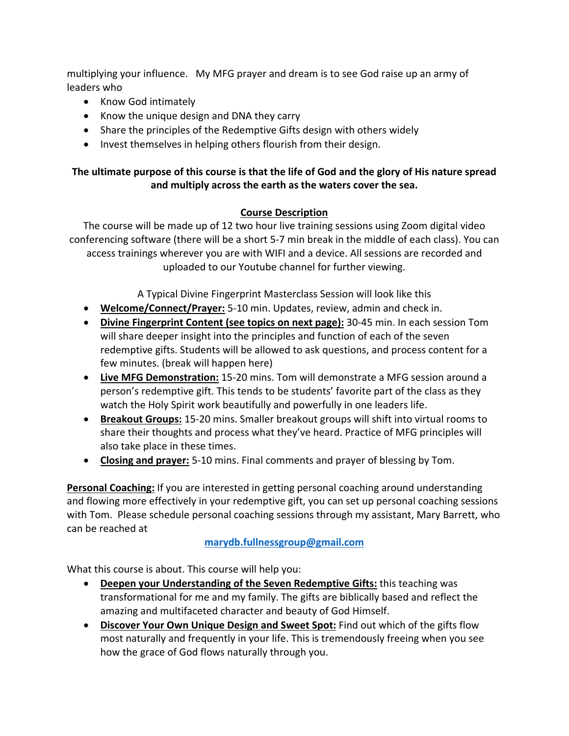multiplying your influence. My MFG prayer and dream is to see God raise up an army of leaders who

- Know God intimately
- Know the unique design and DNA they carry
- Share the principles of the Redemptive Gifts design with others widely
- Invest themselves in helping others flourish from their design.

## **The ultimate purpose of this course is that the life of God and the glory of His nature spread and multiply across the earth as the waters cover the sea.**

## **Course Description**

The course will be made up of 12 two hour live training sessions using Zoom digital video conferencing software (there will be a short 5-7 min break in the middle of each class). You can access trainings wherever you are with WIFI and a device. All sessions are recorded and uploaded to our Youtube channel for further viewing.

A Typical Divine Fingerprint Masterclass Session will look like this

- **Welcome/Connect/Prayer:** 5-10 min. Updates, review, admin and check in.
- **Divine Fingerprint Content (see topics on next page):** 30-45 min. In each session Tom will share deeper insight into the principles and function of each of the seven redemptive gifts. Students will be allowed to ask questions, and process content for a few minutes. (break will happen here)
- **Live MFG Demonstration:** 15-20 mins. Tom will demonstrate a MFG session around a person's redemptive gift. This tends to be students' favorite part of the class as they watch the Holy Spirit work beautifully and powerfully in one leaders life.
- **Breakout Groups:** 15-20 mins. Smaller breakout groups will shift into virtual rooms to share their thoughts and process what they've heard. Practice of MFG principles will also take place in these times.
- **Closing and prayer:** 5-10 mins. Final comments and prayer of blessing by Tom.

**Personal Coaching:** If you are interested in getting personal coaching around understanding and flowing more effectively in your redemptive gift, you can set up personal coaching sessions with Tom. Please schedule personal coaching sessions through my assistant, Mary Barrett, who can be reached at

### **[marydb.fullnessgroup@gmail.com](mailto:marydb.fullnessgroup@gmail.com)**

What this course is about. This course will help you:

- **Deepen your Understanding of the Seven Redemptive Gifts:** this teaching was transformational for me and my family. The gifts are biblically based and reflect the amazing and multifaceted character and beauty of God Himself.
- **Discover Your Own Unique Design and Sweet Spot:** Find out which of the gifts flow most naturally and frequently in your life. This is tremendously freeing when you see how the grace of God flows naturally through you.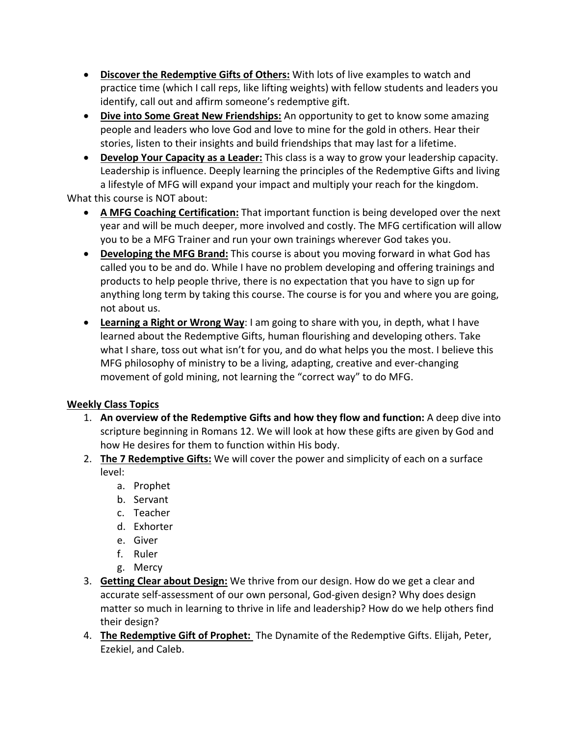- **Discover the Redemptive Gifts of Others:** With lots of live examples to watch and practice time (which I call reps, like lifting weights) with fellow students and leaders you identify, call out and affirm someone's redemptive gift.
- **Dive into Some Great New Friendships:** An opportunity to get to know some amazing people and leaders who love God and love to mine for the gold in others. Hear their stories, listen to their insights and build friendships that may last for a lifetime.
- **Develop Your Capacity as a Leader:** This class is a way to grow your leadership capacity. Leadership is influence. Deeply learning the principles of the Redemptive Gifts and living a lifestyle of MFG will expand your impact and multiply your reach for the kingdom.

What this course is NOT about:

- **A MFG Coaching Certification:** That important function is being developed over the next year and will be much deeper, more involved and costly. The MFG certification will allow you to be a MFG Trainer and run your own trainings wherever God takes you.
- **Developing the MFG Brand:** This course is about you moving forward in what God has called you to be and do. While I have no problem developing and offering trainings and products to help people thrive, there is no expectation that you have to sign up for anything long term by taking this course. The course is for you and where you are going, not about us.
- **Learning a Right or Wrong Way**: I am going to share with you, in depth, what I have learned about the Redemptive Gifts, human flourishing and developing others. Take what I share, toss out what isn't for you, and do what helps you the most. I believe this MFG philosophy of ministry to be a living, adapting, creative and ever-changing movement of gold mining, not learning the "correct way" to do MFG.

## **Weekly Class Topics**

- 1. **An overview of the Redemptive Gifts and how they flow and function:** A deep dive into scripture beginning in Romans 12. We will look at how these gifts are given by God and how He desires for them to function within His body.
- 2. **The 7 Redemptive Gifts:** We will cover the power and simplicity of each on a surface
	- level:
		- a. Prophet
		- b. Servant
		- c. Teacher
		- d. Exhorter
		- e. Giver
		- f. Ruler
		- g. Mercy
- 3. **Getting Clear about Design:** We thrive from our design. How do we get a clear and accurate self-assessment of our own personal, God-given design? Why does design matter so much in learning to thrive in life and leadership? How do we help others find their design?
- 4. **The Redemptive Gift of Prophet:** The Dynamite of the Redemptive Gifts. Elijah, Peter, Ezekiel, and Caleb.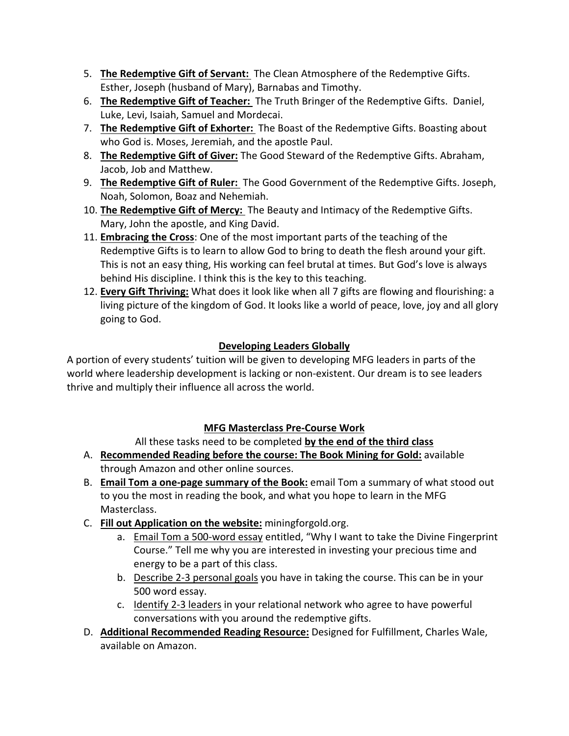- 5. **The Redemptive Gift of Servant:** The Clean Atmosphere of the Redemptive Gifts. Esther, Joseph (husband of Mary), Barnabas and Timothy.
- 6. **The Redemptive Gift of Teacher:** The Truth Bringer of the Redemptive Gifts. Daniel, Luke, Levi, Isaiah, Samuel and Mordecai.
- 7. **The Redemptive Gift of Exhorter:** The Boast of the Redemptive Gifts. Boasting about who God is. Moses, Jeremiah, and the apostle Paul.
- 8. **The Redemptive Gift of Giver:** The Good Steward of the Redemptive Gifts. Abraham, Jacob, Job and Matthew.
- 9. **The Redemptive Gift of Ruler:** The Good Government of the Redemptive Gifts. Joseph, Noah, Solomon, Boaz and Nehemiah.
- 10. **The Redemptive Gift of Mercy:** The Beauty and Intimacy of the Redemptive Gifts. Mary, John the apostle, and King David.
- 11. **Embracing the Cross**: One of the most important parts of the teaching of the Redemptive Gifts is to learn to allow God to bring to death the flesh around your gift. This is not an easy thing, His working can feel brutal at times. But God's love is always behind His discipline. I think this is the key to this teaching.
- 12. **Every Gift Thriving:** What does it look like when all 7 gifts are flowing and flourishing: a living picture of the kingdom of God. It looks like a world of peace, love, joy and all glory going to God.

## **Developing Leaders Globally**

A portion of every students' tuition will be given to developing MFG leaders in parts of the world where leadership development is lacking or non-existent. Our dream is to see leaders thrive and multiply their influence all across the world.

## **MFG Masterclass Pre-Course Work**

All these tasks need to be completed **by the end of the third class**

- A. **Recommended Reading before the course: The Book Mining for Gold:** available through Amazon and other online sources.
- B. **Email Tom a one-page summary of the Book:** email Tom a summary of what stood out to you the most in reading the book, and what you hope to learn in the MFG Masterclass.
- C. **Fill out Application on the website:** miningforgold.org.
	- a. Email Tom a 500-word essay entitled, "Why I want to take the Divine Fingerprint Course." Tell me why you are interested in investing your precious time and energy to be a part of this class.
	- b. Describe 2-3 personal goals you have in taking the course. This can be in your 500 word essay.
	- c. Identify 2-3 leaders in your relational network who agree to have powerful conversations with you around the redemptive gifts.
- D. **Additional Recommended Reading Resource:** Designed for Fulfillment, Charles Wale, available on Amazon.